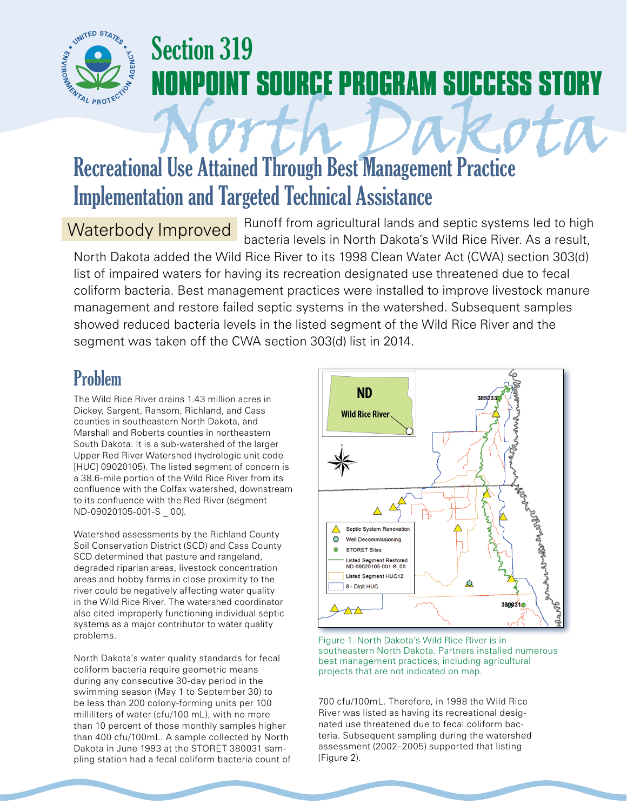

# Section 319 **OINT SOURCE PROGRAM SUCCESS STORY**

# Recreational Use Attained Through Best Management Practice Implementation and Targeted Technical Assistance

#### Waterbody Improved

Runoff from agricultural lands and septic systems led to high bacteria levels in North Dakota's Wild Rice River. As a result,

North Dakota added the Wild Rice River to its 1998 Clean Water Act (CWA) section 303(d) list of impaired waters for having its recreation designated use threatened due to fecal coliform bacteria. Best management practices were installed to improve livestock manure management and restore failed septic systems in the watershed. Subsequent samples showed reduced bacteria levels in the listed segment of the Wild Rice River and the segment was taken off the CWA section 303(d) list in 2014.

## Problem

The Wild Rice River drains 1.43 million acres in Dickey, Sargent, Ransom, Richland, and Cass counties in southeastern North Dakota, and Marshall and Roberts counties in northeastern South Dakota. It is a sub-watershed of the larger Upper Red River Watershed (hydrologic unit code [HUC] 09020105). The listed segment of concern is a 38.6-mile portion of the Wild Rice River from its confluence with the Colfax watershed, downstream to its confluence with the Red River (segment ND-09020105-001-S \_ 00).

Watershed assessments by the Richland County Soil Conservation District (SCD) and Cass County SCD determined that pasture and rangeland, degraded riparian areas, livestock concentration areas and hobby farms in close proximity to the river could be negatively affecting water quality in the Wild Rice River. The watershed coordinator also cited improperly functioning individual septic systems as a major contributor to water quality problems.

North Dakota's water quality standards for fecal coliform bacteria require geometric means during any consecutive 30-day period in the swimming season (May 1 to September 30) to be less than 200 colony-forming units per 100 milliliters of water (cfu/100 mL), with no more than 10 percent of those monthly samples higher than 400 cfu/100mL. A sample collected by North Dakota in June 1993 at the STORET 380031 sampling station had a fecal coliform bacteria count of



Figure 1. North Dakota's Wild Rice River is in southeastern North Dakota. Partners installed numerous best management practices, including agricultural projects that are not indicated on map.

700 cfu/100mL. Therefore, in 1998 the Wild Rice River was listed as having its recreational designated use threatened due to fecal coliform bacteria. Subsequent sampling during the watershed assessment (2002–2005) supported that listing (Figure 2).